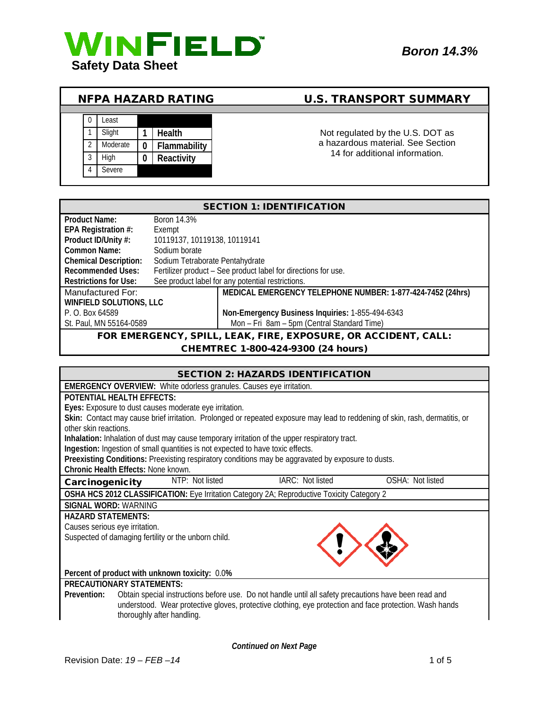



# NFPA HAZARD RATING U.S. TRANSPORT SUMMARY

a hazardous material. See Section 14 for additional information.

| <b>SECTION 1: IDENTIFICATION</b>                               |                                                                |                                                            |
|----------------------------------------------------------------|----------------------------------------------------------------|------------------------------------------------------------|
| <b>Product Name:</b>                                           | Boron 14.3%                                                    |                                                            |
| EPA Registration #:                                            | Exempt                                                         |                                                            |
| Product ID/Unity #:                                            | 10119137, 10119138, 10119141                                   |                                                            |
| Common Name:                                                   | Sodium borate                                                  |                                                            |
| <b>Chemical Description:</b>                                   | Sodium Tetraborate Pentahydrate                                |                                                            |
| <b>Recommended Uses:</b>                                       | Fertilizer product - See product label for directions for use. |                                                            |
| <b>Restrictions for Use:</b>                                   |                                                                | See product label for any potential restrictions.          |
| Manufactured For:                                              |                                                                | MEDICAL EMERGENCY TELEPHONE NUMBER: 1-877-424-7452 (24hrs) |
| WINFIELD SOLUTIONS, LLC                                        |                                                                |                                                            |
| P. O. Box 64589                                                |                                                                | Non-Emergency Business Inquiries: 1-855-494-6343           |
| St. Paul, MN 55164-0589                                        |                                                                | Mon - Fri 8am - 5pm (Central Standard Time)                |
| FOR EMERGENCY, SPILL, LEAK, FIRE, EXPOSURE, OR ACCIDENT, CALL: |                                                                |                                                            |
| CHEMTREC 1-800-424-9300 (24 hours)                             |                                                                |                                                            |

#### CHEMTREC 1-800-424-9300 (24 hours)

|                                                                                                                              | <b>SECTION 2: HAZARDS IDENTIFICATION</b> |                  |
|------------------------------------------------------------------------------------------------------------------------------|------------------------------------------|------------------|
| <b>EMERGENCY OVERVIEW:</b> White odorless granules. Causes eye irritation.                                                   |                                          |                  |
| <b>POTENTIAL HEALTH EFFECTS:</b>                                                                                             |                                          |                  |
| Eyes: Exposure to dust causes moderate eye irritation.                                                                       |                                          |                  |
| Skin: Contact may cause brief irritation. Prolonged or repeated exposure may lead to reddening of skin, rash, dermatitis, or |                                          |                  |
| other skin reactions.                                                                                                        |                                          |                  |
| Inhalation: Inhalation of dust may cause temporary irritation of the upper respiratory tract.                                |                                          |                  |
| Ingestion: Ingestion of small quantities is not expected to have toxic effects.                                              |                                          |                  |
| Preexisting Conditions: Preexisting respiratory conditions may be aggravated by exposure to dusts.                           |                                          |                  |
| <b>Chronic Health Effects: None known.</b>                                                                                   |                                          |                  |
| NTP: Not listed<br>Carcinogenicity                                                                                           | IARC: Not listed                         | OSHA: Not listed |
| OSHA HCS 2012 CLASSIFICATION: Eye Irritation Category 2A; Reproductive Toxicity Category 2                                   |                                          |                  |
| SIGNAL WORD: WARNING                                                                                                         |                                          |                  |
| <b>HAZARD STATEMENTS:</b>                                                                                                    |                                          |                  |
| Causes serious eye irritation.                                                                                               |                                          |                  |
| Suspected of damaging fertility or the unborn child.                                                                         |                                          |                  |
|                                                                                                                              |                                          |                  |
|                                                                                                                              |                                          |                  |
| Percent of product with unknown toxicity: 0.0%                                                                               |                                          |                  |
| <b>PRECAUTIONARY STATEMENTS:</b>                                                                                             |                                          |                  |
| Obtain special instructions before use. Do not handle until all safety precautions have been read and<br>Prevention:         |                                          |                  |
| understood. Wear protective gloves, protective clothing, eye protection and face protection. Wash hands                      |                                          |                  |
| thoroughly after handling.                                                                                                   |                                          |                  |

*Continued on Next Page*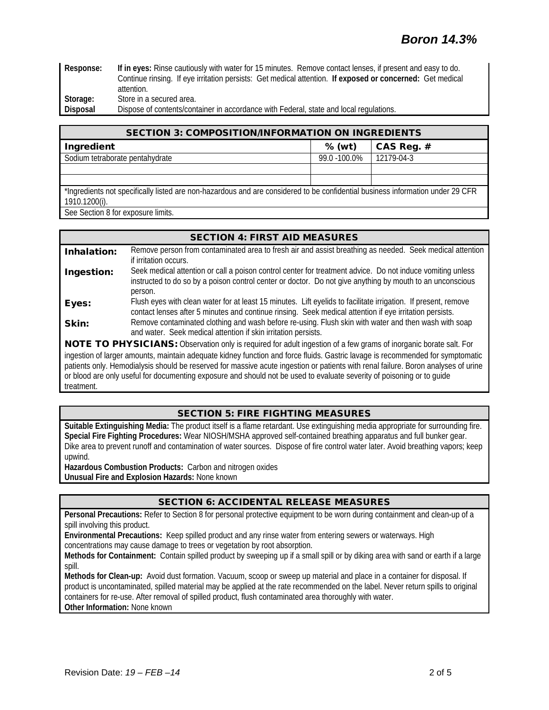**Response: If in eyes:** Rinse cautiously with water for 15 minutes. Remove contact lenses, if present and easy to do. Continue rinsing. If eye irritation persists: Get medical attention. **If exposed or concerned:** Get medical attention. Storage: Store in a secured area.

**Disposal** Dispose of contents/container in accordance with Federal, state and local regulations.

| <b>SECTION 3: COMPOSITION/INFORMATION ON INGREDIENTS</b>                                                                                        |              |              |
|-------------------------------------------------------------------------------------------------------------------------------------------------|--------------|--------------|
| Ingredient                                                                                                                                      | $%$ (wt)     | CAS Reg. $#$ |
| Sodium tetraborate pentahydrate                                                                                                                 | 99.0 -100.0% | 12179-04-3   |
|                                                                                                                                                 |              |              |
|                                                                                                                                                 |              |              |
| *Ingredients not specifically listed are non-hazardous and are considered to be confidential business information under 29 CFR<br>1910.1200(i). |              |              |

See Section 8 for exposure limits.

# SECTION 4: FIRST AID MEASURES

Inhalation: Remove person from contaminated area to fresh air and assist breathing as needed. Seek medical attention if irritation occurs. Ingestion: Seek medical attention or call a poison control center for treatment advice. Do not induce vomiting unless instructed to do so by a poison control center or doctor. Do not give anything by mouth to an unconscious person. Eyes: Flush eyes with clean water for at least 15 minutes. Lift eyelids to facilitate irrigation. If present, remove contact lenses after 5 minutes and continue rinsing. Seek medical attention if eye irritation persists. **Skin:** Remove contaminated clothing and wash before re-using. Flush skin with water and then wash with soap and water. Seek medical attention if skin irritation persists. NOTE TO PHYSICIANS: Observation only is required for adult ingestion of a few grams of inorganic borate salt. For

ingestion of larger amounts, maintain adequate kidney function and force fluids. Gastric lavage is recommended for symptomatic patients only. Hemodialysis should be reserved for massive acute ingestion or patients with renal failure. Boron analyses of urine or blood are only useful for documenting exposure and should not be used to evaluate severity of poisoning or to guide treatment.

# SECTION 5: FIRE FIGHTING MEASURES

**Suitable Extinguishing Media:** The product itself is a flame retardant. Use extinguishing media appropriate for surrounding fire. **Special Fire Fighting Procedures:** Wear NIOSH/MSHA approved self-contained breathing apparatus and full bunker gear. Dike area to prevent runoff and contamination of water sources. Dispose of fire control water later. Avoid breathing vapors; keep upwind.

**Hazardous Combustion Products:** Carbon and nitrogen oxides **Unusual Fire and Explosion Hazards:** None known

# SECTION 6: ACCIDENTAL RELEASE MEASURES

**Personal Precautions:** Refer to Section 8 for personal protective equipment to be worn during containment and clean-up of a spill involving this product.

**Environmental Precautions:** Keep spilled product and any rinse water from entering sewers or waterways. High concentrations may cause damage to trees or vegetation by root absorption.

**Methods for Containment:** Contain spilled product by sweeping up if a small spill or by diking area with sand or earth if a large spill.

**Methods for Clean-up:** Avoid dust formation. Vacuum, scoop or sweep up material and place in a container for disposal. If product is uncontaminated, spilled material may be applied at the rate recommended on the label. Never return spills to original containers for re-use. After removal of spilled product, flush contaminated area thoroughly with water. **Other Information:** None known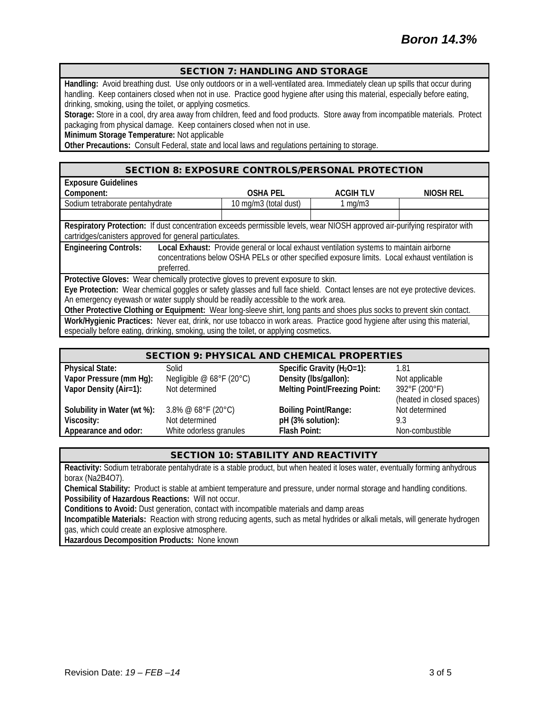#### SECTION 7: HANDLING AND STORAGE

**Handling:** Avoid breathing dust. Use only outdoors or in a well-ventilated area. Immediately clean up spills that occur during handling. Keep containers closed when not in use. Practice good hygiene after using this material, especially before eating, drinking, smoking, using the toilet, or applying cosmetics.

**Storage:** Store in a cool, dry area away from children, feed and food products. Store away from incompatible materials. Protect packaging from physical damage. Keep containers closed when not in use.

**Minimum Storage Temperature:** Not applicable

**Other Precautions:** Consult Federal, state and local laws and regulations pertaining to storage.

#### SECTION 8: EXPOSURE CONTROLS/PERSONAL PROTECTION

| <b>Exposure Guidelines</b>                                                                                                                                                                                                                |                       |                  |           |
|-------------------------------------------------------------------------------------------------------------------------------------------------------------------------------------------------------------------------------------------|-----------------------|------------------|-----------|
| Component:                                                                                                                                                                                                                                | <b>OSHA PEL</b>       | <b>ACGIH TLV</b> | NIOSH REL |
| Sodium tetraborate pentahydrate                                                                                                                                                                                                           | 10 mg/m3 (total dust) | $1 \text{ mg/m}$ |           |
|                                                                                                                                                                                                                                           |                       |                  |           |
| Respiratory Protection: If dust concentration exceeds permissible levels, wear NIOSH approved air-purifying respirator with                                                                                                               |                       |                  |           |
| cartridges/canisters approved for general particulates.                                                                                                                                                                                   |                       |                  |           |
| <b>Engineering Controls:</b><br>Local Exhaust: Provide general or local exhaust ventilation systems to maintain airborne<br>concentrations below OSHA PELs or other specified exposure limits. Local exhaust ventilation is<br>preferred. |                       |                  |           |
| Protective Gloves: Wear chemically protective gloves to prevent exposure to skin.                                                                                                                                                         |                       |                  |           |
| Eye Protection: Wear chemical goggles or safety glasses and full face shield. Contact lenses are not eye protective devices.                                                                                                              |                       |                  |           |
| An emergency eyewash or water supply should be readily accessible to the work area.                                                                                                                                                       |                       |                  |           |
| Other Protective Clothing or Equipment: Wear long-sleeve shirt, long pants and shoes plus socks to prevent skin contact.                                                                                                                  |                       |                  |           |
| Work/Hygienic Practices: Never eat, drink, nor use tobacco in work areas. Practice good hygiene after using this material,<br>especially before eating, drinking, smoking, using the toilet, or applying cosmetics.                       |                       |                  |           |

| <b>SECTION 9: PHYSICAL AND CHEMICAL PROPERTIES</b> |                                         |                                      |                           |
|----------------------------------------------------|-----------------------------------------|--------------------------------------|---------------------------|
| <b>Physical State:</b>                             | Solid                                   | Specific Gravity ( $H_2O=1$ ):       | 1.81                      |
| Vapor Pressure (mm Hg):                            | Negligible $@$ 68°F (20°C)              | Density (Ibs/gallon):                | Not applicable            |
| Vapor Density (Air=1):                             | Not determined                          | <b>Melting Point/Freezing Point:</b> | 392°F (200°F)             |
|                                                    |                                         |                                      | (heated in closed spaces) |
| Solubility in Water (wt %):                        | 3.8% @ $68^{\circ}$ F (20 $^{\circ}$ C) | <b>Boiling Point/Range:</b>          | Not determined            |
| Viscosity:                                         | Not determined                          | pH (3% solution):                    | 9.3                       |
| Appearance and odor:                               | White odorless granules                 | <b>Flash Point:</b>                  | Non-combustible           |

### SECTION 10: STABILITY AND REACTIVITY

**Reactivity:** Sodium tetraborate pentahydrate is a stable product, but when heated it loses water, eventually forming anhydrous borax (Na2B4O7).

**Chemical Stability:** Product is stable at ambient temperature and pressure, under normal storage and handling conditions. **Possibility of Hazardous Reactions:** Will not occur.

**Conditions to Avoid:** Dust generation, contact with incompatible materials and damp areas

**Incompatible Materials:** Reaction with strong reducing agents, such as metal hydrides or alkali metals, will generate hydrogen gas, which could create an explosive atmosphere.

**Hazardous Decomposition Products:** None known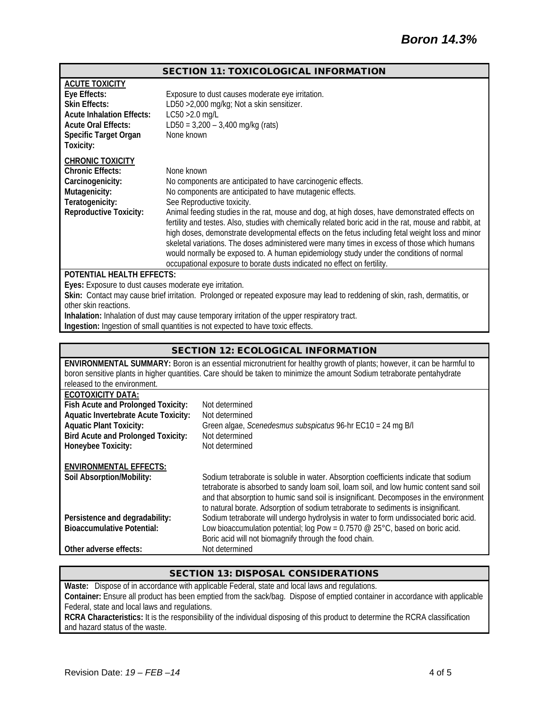#### SECTION 11: TOXICOLOGICAL INFORMATION

| <b>ACUTE TOXICITY</b>            |                                                                                                         |
|----------------------------------|---------------------------------------------------------------------------------------------------------|
| Eye Effects:                     | Exposure to dust causes moderate eye irritation.                                                        |
| <b>Skin Effects:</b>             | LD50 > 2,000 mg/kg; Not a skin sensitizer.                                                              |
| <b>Acute Inhalation Effects:</b> | $LC50 > 2.0$ mg/L                                                                                       |
| <b>Acute Oral Effects:</b>       | LD50 = $3,200 - 3,400$ mg/kg (rats)                                                                     |
| Specific Target Organ            | None known                                                                                              |
| Toxicity:                        |                                                                                                         |
| <b>CHRONIC TOXICITY</b>          |                                                                                                         |
| <b>Chronic Effects:</b>          | None known                                                                                              |
| Carcinogenicity:                 | No components are anticipated to have carcinogenic effects.                                             |
| Mutagenicity:                    | No components are anticipated to have mutagenic effects.                                                |
| Teratogenicity:                  | See Reproductive toxicity.                                                                              |
| <b>Reproductive Toxicity:</b>    | Animal feeding studies in the rat, mouse and dog, at high doses, have demonstrated effects on           |
|                                  | fertility and testes. Also, studies with chemically related boric acid in the rat, mouse and rabbit, at |
|                                  | high doses, demonstrate developmental effects on the fetus including fetal weight loss and minor        |
|                                  | skeletal variations. The doses administered were many times in excess of those which humans             |
|                                  | would normally be exposed to. A human epidemiology study under the conditions of normal                 |
|                                  | occupational exposure to borate dusts indicated no effect on fertility.                                 |
| <b>POTENTIAL HEALTH EFFECTS:</b> |                                                                                                         |

**Eyes:** Exposure to dust causes moderate eye irritation.

**Skin:** Contact may cause brief irritation. Prolonged or repeated exposure may lead to reddening of skin, rash, dermatitis, or other skin reactions.

**Inhalation:** Inhalation of dust may cause temporary irritation of the upper respiratory tract.

**Ingestion:** Ingestion of small quantities is not expected to have toxic effects.

| <b>SECTION 12: ECOLOGICAL INFORMATION</b>   |                                                                                                                                                                              |  |
|---------------------------------------------|------------------------------------------------------------------------------------------------------------------------------------------------------------------------------|--|
|                                             | ENVIRONMENTAL SUMMARY: Boron is an essential micronutrient for healthy growth of plants; however, it can be harmful to                                                       |  |
|                                             | boron sensitive plants in higher quantities. Care should be taken to minimize the amount Sodium tetraborate pentahydrate                                                     |  |
| released to the environment.                |                                                                                                                                                                              |  |
| <b>ECOTOXICITY DATA:</b>                    |                                                                                                                                                                              |  |
| Fish Acute and Prolonged Toxicity:          | Not determined                                                                                                                                                               |  |
| <b>Aquatic Invertebrate Acute Toxicity:</b> | Not determined                                                                                                                                                               |  |
| <b>Aquatic Plant Toxicity:</b>              | Green algae, Scenedesmus subspicatus 96-hr EC10 = 24 mg B/l                                                                                                                  |  |
| <b>Bird Acute and Prolonged Toxicity:</b>   | Not determined                                                                                                                                                               |  |
| Honeybee Toxicity:                          | Not determined                                                                                                                                                               |  |
|                                             |                                                                                                                                                                              |  |
| <b>ENVIRONMENTAL EFFECTS:</b>               |                                                                                                                                                                              |  |
| Soil Absorption/Mobility:                   | Sodium tetraborate is soluble in water. Absorption coefficients indicate that sodium                                                                                         |  |
|                                             | tetraborate is absorbed to sandy loam soil, loam soil, and low humic content sand soil                                                                                       |  |
|                                             | and that absorption to humic sand soil is insignificant. Decomposes in the environment<br>to natural borate. Adsorption of sodium tetraborate to sediments is insignificant. |  |
|                                             | Sodium tetraborate will undergo hydrolysis in water to form undissociated boric acid.                                                                                        |  |
| Persistence and degradability:              |                                                                                                                                                                              |  |
| <b>Bioaccumulative Potential:</b>           | Low bioaccumulation potential; log Pow = $0.7570$ @ 25°C, based on boric acid.                                                                                               |  |
|                                             | Boric acid will not biomagnify through the food chain.                                                                                                                       |  |
| Other adverse effects:                      | Not determined                                                                                                                                                               |  |

# SECTION 13: DISPOSAL CONSIDERATIONS

**Waste:** Dispose of in accordance with applicable Federal, state and local laws and regulations. **Container:** Ensure all product has been emptied from the sack/bag. Dispose of emptied container in accordance with applicable Federal, state and local laws and regulations.

**RCRA Characteristics:** It is the responsibility of the individual disposing of this product to determine the RCRA classification and hazard status of the waste.